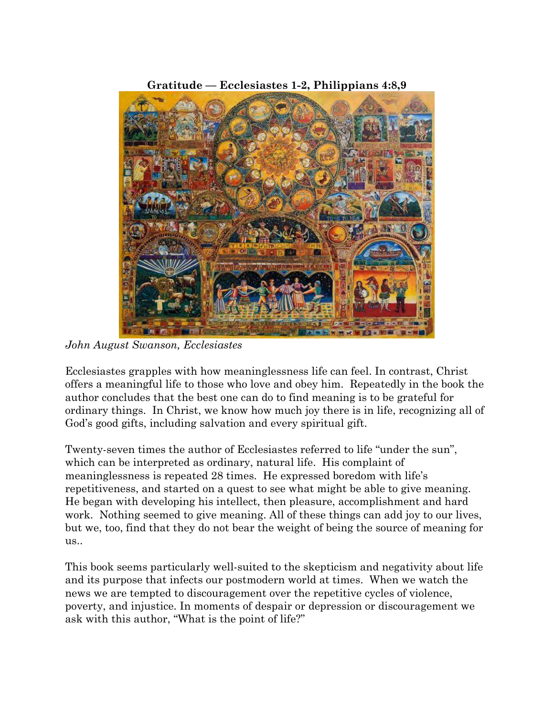

*John August Swanson, Ecclesiastes*

Ecclesiastes grapples with how meaninglessness life can feel. In contrast, Christ offers a meaningful life to those who love and obey him. Repeatedly in the book the author concludes that the best one can do to find meaning is to be grateful for ordinary things. In Christ, we know how much joy there is in life, recognizing all of God's good gifts, including salvation and every spiritual gift.

Twenty-seven times the author of Ecclesiastes referred to life "under the sun", which can be interpreted as ordinary, natural life. His complaint of meaninglessness is repeated 28 times. He expressed boredom with life's repetitiveness, and started on a quest to see what might be able to give meaning. He began with developing his intellect, then pleasure, accomplishment and hard work. Nothing seemed to give meaning. All of these things can add joy to our lives, but we, too, find that they do not bear the weight of being the source of meaning for us..

This book seems particularly well-suited to the skepticism and negativity about life and its purpose that infects our postmodern world at times. When we watch the news we are tempted to discouragement over the repetitive cycles of violence, poverty, and injustice. In moments of despair or depression or discouragement we ask with this author, "What is the point of life?"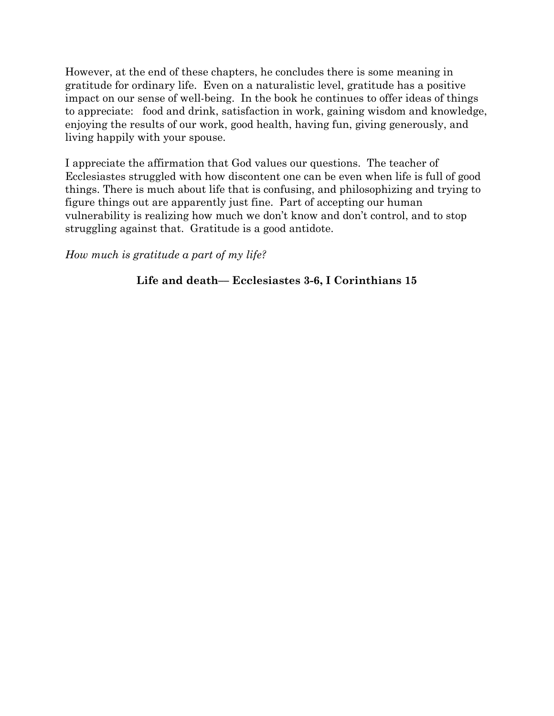However, at the end of these chapters, he concludes there is some meaning in gratitude for ordinary life. Even on a naturalistic level, gratitude has a positive impact on our sense of well-being. In the book he continues to offer ideas of things to appreciate: food and drink, satisfaction in work, gaining wisdom and knowledge, enjoying the results of our work, good health, having fun, giving generously, and living happily with your spouse.

I appreciate the affirmation that God values our questions. The teacher of Ecclesiastes struggled with how discontent one can be even when life is full of good things. There is much about life that is confusing, and philosophizing and trying to figure things out are apparently just fine. Part of accepting our human vulnerability is realizing how much we don't know and don't control, and to stop struggling against that. Gratitude is a good antidote.

*How much is gratitude a part of my life?*

## **Life and death–– Ecclesiastes 3-6, I Corinthians 15**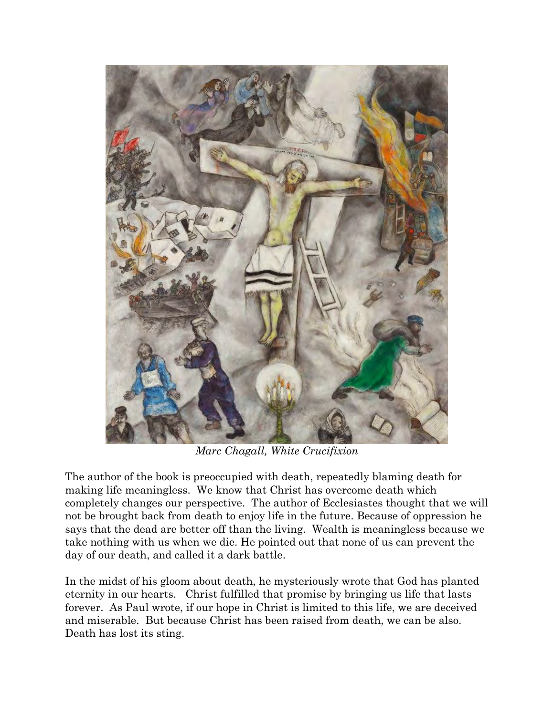

*Marc Chagall, White Crucifixion*

The author of the book is preoccupied with death, repeatedly blaming death for making life meaningless. We know that Christ has overcome death which completely changes our perspective. The author of Ecclesiastes thought that we will not be brought back from death to enjoy life in the future. Because of oppression he says that the dead are better off than the living. Wealth is meaningless because we take nothing with us when we die. He pointed out that none of us can prevent the day of our death, and called it a dark battle.

In the midst of his gloom about death, he mysteriously wrote that God has planted eternity in our hearts. Christ fulfilled that promise by bringing us life that lasts forever. As Paul wrote, if our hope in Christ is limited to this life, we are deceived and miserable. But because Christ has been raised from death, we can be also. Death has lost its sting.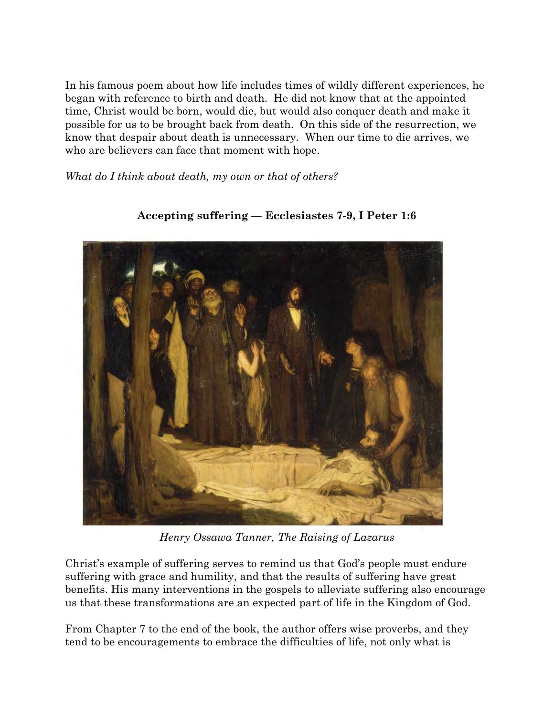In his famous poem about how life includes times of wildly different experiences, he began with reference to birth and death. He did not know that at the appointed time, Christ would be born, would die, but would also conquer death and make it possible for us to be brought back from death. On this side of the resurrection, we know that despair about death is unnecessary. When our time to die arrives, we who are believers can face that moment with hope.

*What do I think about death, my own or that of others?*



## **Accepting suffering –– Ecclesiastes 7-9, I Peter 1:6**

*Henry Ossawa Tanner, The Raising of Lazarus*

Christ's example of suffering serves to remind us that God's people must endure suffering with grace and humility, and that the results of suffering have great benefits. His many interventions in the gospels to alleviate suffering also encourage us that these transformations are an expected part of life in the Kingdom of God.

From Chapter 7 to the end of the book, the author offers wise proverbs, and they tend to be encouragements to embrace the difficulties of life, not only what is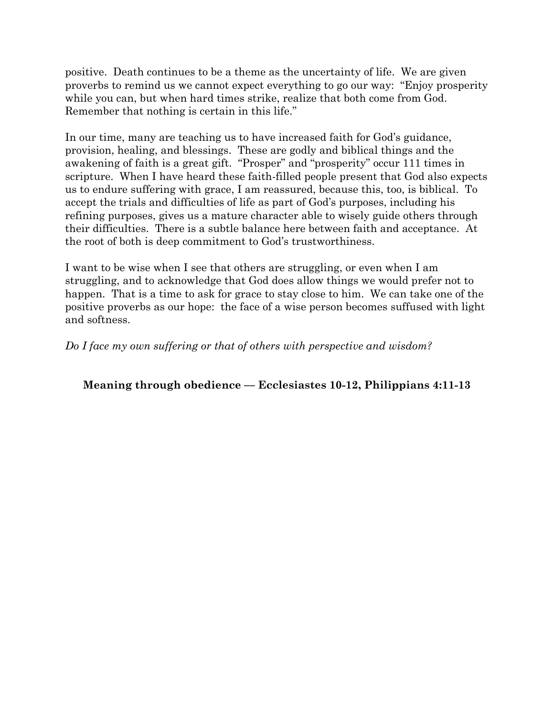positive. Death continues to be a theme as the uncertainty of life. We are given proverbs to remind us we cannot expect everything to go our way: "Enjoy prosperity while you can, but when hard times strike, realize that both come from God. Remember that nothing is certain in this life."

In our time, many are teaching us to have increased faith for God's guidance, provision, healing, and blessings. These are godly and biblical things and the awakening of faith is a great gift. "Prosper" and "prosperity" occur 111 times in scripture. When I have heard these faith-filled people present that God also expects us to endure suffering with grace, I am reassured, because this, too, is biblical. To accept the trials and difficulties of life as part of God's purposes, including his refining purposes, gives us a mature character able to wisely guide others through their difficulties. There is a subtle balance here between faith and acceptance. At the root of both is deep commitment to God's trustworthiness.

I want to be wise when I see that others are struggling, or even when I am struggling, and to acknowledge that God does allow things we would prefer not to happen. That is a time to ask for grace to stay close to him. We can take one of the positive proverbs as our hope: the face of a wise person becomes suffused with light and softness.

*Do I face my own suffering or that of others with perspective and wisdom?*

**Meaning through obedience –– Ecclesiastes 10-12, Philippians 4:11-13**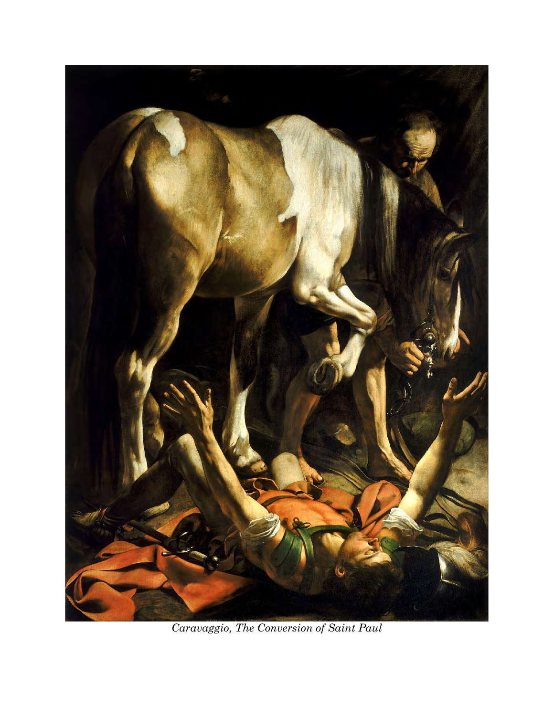

*Caravaggio, The Conversion of Saint Paul*